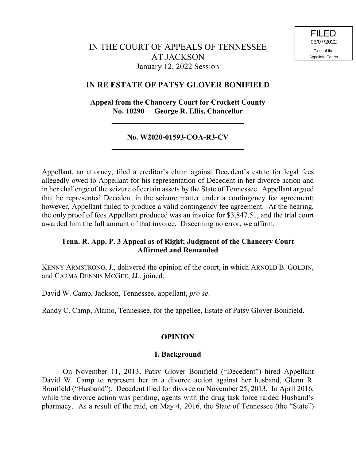## **IN RE ESTATE OF PATSY GLOVER BONIFIELD**

**Appeal from the Chancery Court for Crockett County No. 10290 George R. Ellis, Chancellor**

**\_\_\_\_\_\_\_\_\_\_\_\_\_\_\_\_\_\_\_\_\_\_\_\_\_\_\_\_\_\_\_\_\_\_\_**

### **No. W2020-01593-COA-R3-CV \_\_\_\_\_\_\_\_\_\_\_\_\_\_\_\_\_\_\_\_\_\_\_\_\_\_\_\_\_\_\_\_\_\_\_**

Appellant, an attorney, filed a creditor's claim against Decedent's estate for legal fees allegedly owed to Appellant for his representation of Decedent in her divorce action and in her challenge of the seizure of certain assets by the State of Tennessee. Appellant argued that he represented Decedent in the seizure matter under a contingency fee agreement; however, Appellant failed to produce a valid contingency fee agreement. At the hearing, the only proof of fees Appellant produced was an invoice for \$3,847.51, and the trial court awarded him the full amount of that invoice. Discerning no error, we affirm.

## **Tenn. R. App. P. 3 Appeal as of Right; Judgment of the Chancery Court Affirmed and Remanded**

KENNY ARMSTRONG, J., delivered the opinion of the court, in which ARNOLD B. GOLDIN, and CARMA DENNIS MCGEE, JJ., joined.

David W. Camp, Jackson, Tennessee, appellant, *pro se*.

Randy C. Camp, Alamo, Tennessee, for the appellee, Estate of Patsy Glover Bonifield.

# **OPINION**

### **I. Background**

On November 11, 2013, Patsy Glover Bonifield ("Decedent") hired Appellant David W. Camp to represent her in a divorce action against her husband, Glenn R. Bonifield ("Husband"). Decedent filed for divorce on November 25, 2013. In April 2016, while the divorce action was pending, agents with the drug task force raided Husband's pharmacy. As a result of the raid, on May 4, 2016, the State of Tennessee (the "State")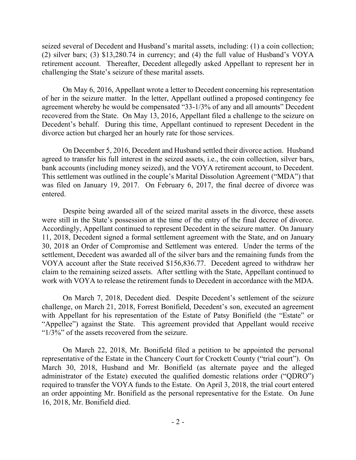seized several of Decedent and Husband's marital assets, including: (1) a coin collection; (2) silver bars; (3) \$13,280.74 in currency; and (4) the full value of Husband's VOYA retirement account. Thereafter, Decedent allegedly asked Appellant to represent her in challenging the State's seizure of these marital assets.

On May 6, 2016, Appellant wrote a letter to Decedent concerning his representation of her in the seizure matter. In the letter, Appellant outlined a proposed contingency fee agreement whereby he would be compensated "33-1/3% of any and all amounts" Decedent recovered from the State. On May 13, 2016, Appellant filed a challenge to the seizure on Decedent's behalf. During this time, Appellant continued to represent Decedent in the divorce action but charged her an hourly rate for those services.

On December 5, 2016, Decedent and Husband settled their divorce action. Husband agreed to transfer his full interest in the seized assets, i.e., the coin collection, silver bars, bank accounts (including money seized), and the VOYA retirement account, to Decedent. This settlement was outlined in the couple's Marital Dissolution Agreement ("MDA") that was filed on January 19, 2017. On February 6, 2017, the final decree of divorce was entered.

Despite being awarded all of the seized marital assets in the divorce, these assets were still in the State's possession at the time of the entry of the final decree of divorce. Accordingly, Appellant continued to represent Decedent in the seizure matter. On January 11, 2018, Decedent signed a formal settlement agreement with the State, and on January 30, 2018 an Order of Compromise and Settlement was entered. Under the terms of the settlement, Decedent was awarded all of the silver bars and the remaining funds from the VOYA account after the State received \$156,836.77. Decedent agreed to withdraw her claim to the remaining seized assets. After settling with the State, Appellant continued to work with VOYA to release the retirement funds to Decedent in accordance with the MDA.

On March 7, 2018, Decedent died. Despite Decedent's settlement of the seizure challenge, on March 21, 2018, Forrest Bonifield, Decedent's son, executed an agreement with Appellant for his representation of the Estate of Patsy Bonifield (the "Estate" or "Appellee") against the State. This agreement provided that Appellant would receive " $1/3\%$ " of the assets recovered from the seizure.

On March 22, 2018, Mr. Bonifield filed a petition to be appointed the personal representative of the Estate in the Chancery Court for Crockett County ("trial court"). On March 30, 2018, Husband and Mr. Bonifield (as alternate payee and the alleged administrator of the Estate) executed the qualified domestic relations order ("QDRO") required to transfer the VOYA funds to the Estate. On April 3, 2018, the trial court entered an order appointing Mr. Bonifield as the personal representative for the Estate. On June 16, 2018, Mr. Bonifield died.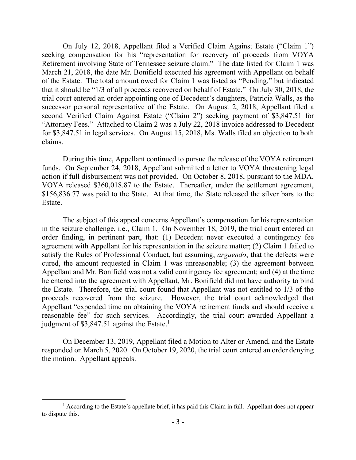On July 12, 2018, Appellant filed a Verified Claim Against Estate ("Claim 1") seeking compensation for his "representation for recovery of proceeds from VOYA Retirement involving State of Tennessee seizure claim." The date listed for Claim 1 was March 21, 2018, the date Mr. Bonifield executed his agreement with Appellant on behalf of the Estate. The total amount owed for Claim 1 was listed as "Pending," but indicated that it should be "1/3 of all proceeds recovered on behalf of Estate." On July 30, 2018, the trial court entered an order appointing one of Decedent's daughters, Patricia Walls, as the successor personal representative of the Estate. On August 2, 2018, Appellant filed a second Verified Claim Against Estate ("Claim 2") seeking payment of \$3,847.51 for "Attorney Fees." Attached to Claim 2 was a July 22, 2018 invoice addressed to Decedent for \$3,847.51 in legal services. On August 15, 2018, Ms. Walls filed an objection to both claims.

During this time, Appellant continued to pursue the release of the VOYA retirement funds. On September 24, 2018, Appellant submitted a letter to VOYA threatening legal action if full disbursement was not provided. On October 8, 2018, pursuant to the MDA, VOYA released \$360,018.87 to the Estate. Thereafter, under the settlement agreement, \$156,836.77 was paid to the State. At that time, the State released the silver bars to the Estate.

The subject of this appeal concerns Appellant's compensation for his representation in the seizure challenge, i.e., Claim 1. On November 18, 2019, the trial court entered an order finding, in pertinent part, that: (1) Decedent never executed a contingency fee agreement with Appellant for his representation in the seizure matter; (2) Claim 1 failed to satisfy the Rules of Professional Conduct, but assuming, *arguendo*, that the defects were cured, the amount requested in Claim 1 was unreasonable; (3) the agreement between Appellant and Mr. Bonifield was not a valid contingency fee agreement; and (4) at the time he entered into the agreement with Appellant, Mr. Bonifield did not have authority to bind the Estate. Therefore, the trial court found that Appellant was not entitled to 1/3 of the proceeds recovered from the seizure. However, the trial court acknowledged that Appellant "expended time on obtaining the VOYA retirement funds and should receive a reasonable fee" for such services. Accordingly, the trial court awarded Appellant a judgment of \$3,847.51 against the Estate.<sup>1</sup>

On December 13, 2019, Appellant filed a Motion to Alter or Amend, and the Estate responded on March 5, 2020. On October 19, 2020, the trial court entered an order denying the motion. Appellant appeals.

 $<sup>1</sup>$  According to the Estate's appellate brief, it has paid this Claim in full. Appellant does not appear</sup> to dispute this.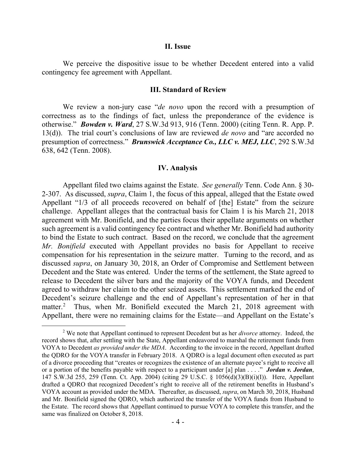#### **II. Issue**

We perceive the dispositive issue to be whether Decedent entered into a valid contingency fee agreement with Appellant.

#### **III. Standard of Review**

We review a non-jury case "*de novo* upon the record with a presumption of correctness as to the findings of fact, unless the preponderance of the evidence is otherwise." *Bowden v. Ward*, 27 S.W.3d 913, 916 (Tenn. 2000) (citing Tenn. R. App. P. 13(d)). The trial court's conclusions of law are reviewed *de novo* and "are accorded no presumption of correctness." *Brunswick Acceptance Co., LLC v. MEJ, LLC*, 292 S.W.3d 638, 642 (Tenn. 2008).

#### **IV. Analysis**

Appellant filed two claims against the Estate. *See generally* Tenn. Code Ann. § 30- 2-307. As discussed, *supra*, Claim 1, the focus of this appeal, alleged that the Estate owed Appellant "1/3 of all proceeds recovered on behalf of [the] Estate" from the seizure challenge. Appellant alleges that the contractual basis for Claim 1 is his March 21, 2018 agreement with Mr. Bonifield, and the parties focus their appellate arguments on whether such agreement is a valid contingency fee contract and whether Mr. Bonifield had authority to bind the Estate to such contract. Based on the record, we conclude that the agreement *Mr. Bonifield* executed with Appellant provides no basis for Appellant to receive compensation for his representation in the seizure matter. Turning to the record, and as discussed *supra*, on January 30, 2018, an Order of Compromise and Settlement between Decedent and the State was entered. Under the terms of the settlement, the State agreed to release to Decedent the silver bars and the majority of the VOYA funds, and Decedent agreed to withdraw her claim to the other seized assets. This settlement marked the end of Decedent's seizure challenge and the end of Appellant's representation of her in that matter.<sup>2</sup> Thus, when Mr. Bonifield executed the March 21, 2018 agreement with Appellant, there were no remaining claims for the Estate—and Appellant on the Estate's

 $\overline{a}$ 

<sup>2</sup> We note that Appellant continued to represent Decedent but as her *divorce* attorney. Indeed, the record shows that, after settling with the State, Appellant endeavored to marshal the retirement funds from VOYA to Decedent *as provided under the MDA*. According to the invoice in the record, Appellant drafted the QDRO for the VOYA transfer in February 2018. A QDRO is a legal document often executed as part of a divorce proceeding that "creates or recognizes the existence of an alternate payee's right to receive all or a portion of the benefits payable with respect to a participant under [a] plan . . . ." *Jordan v. Jordan*, 147 S.W.3d 255, 259 (Tenn. Ct. App. 2004) (citing 29 U.S.C. § 1056(d)(3)(B)(i)(I)). Here, Appellant drafted a QDRO that recognized Decedent's right to receive all of the retirement benefits in Husband's VOYA account as provided under the MDA. Thereafter, as discussed, *supra*, on March 30, 2018, Husband and Mr. Bonifield signed the QDRO, which authorized the transfer of the VOYA funds from Husband to the Estate. The record shows that Appellant continued to pursue VOYA to complete this transfer, and the same was finalized on October 8, 2018.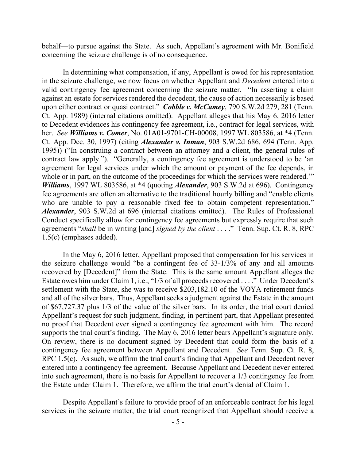behalf—to pursue against the State. As such, Appellant's agreement with Mr. Bonifield concerning the seizure challenge is of no consequence.

In determining what compensation, if any, Appellant is owed for his representation in the seizure challenge, we now focus on whether Appellant and *Decedent* entered into a valid contingency fee agreement concerning the seizure matter. "In asserting a claim against an estate for services rendered the decedent, the cause of action necessarily is based upon either contract or quasi contract." *Cobble v. McCamey*, 790 S.W.2d 279, 281 (Tenn. Ct. App. 1989) (internal citations omitted). Appellant alleges that his May 6, 2016 letter to Decedent evidences his contingency fee agreement, i.e., contract for legal services, with her. *See Williams v. Comer*, No. 01A01-9701-CH-00008, 1997 WL 803586, at \*4 (Tenn. Ct. App. Dec. 30, 1997) (citing *Alexander v. Inman*, 903 S.W.2d 686, 694 (Tenn. App. 1995)) ("In construing a contract between an attorney and a client, the general rules of contract law apply."). "Generally, a contingency fee agreement is understood to be 'an agreement for legal services under which the amount or payment of the fee depends, in whole or in part, on the outcome of the proceedings for which the services were rendered." *Williams*, 1997 WL 803586, at \*4 (quoting *Alexander*, 903 S.W.2d at 696). Contingency fee agreements are often an alternative to the traditional hourly billing and "enable clients who are unable to pay a reasonable fixed fee to obtain competent representation." *Alexander*, 903 S.W.2d at 696 (internal citations omitted). The Rules of Professional Conduct specifically allow for contingency fee agreements but expressly require that such agreements "*shall* be in writing [and] *signed by the client* . . . ." Tenn. Sup. Ct. R. 8, RPC 1.5(c) (emphases added).

In the May 6, 2016 letter, Appellant proposed that compensation for his services in the seizure challenge would "be a contingent fee of 33-1/3% of any and all amounts recovered by [Decedent]" from the State. This is the same amount Appellant alleges the Estate owes him under Claim 1, i.e., "1/3 of all proceeds recovered . . . ." Under Decedent's settlement with the State, she was to receive \$203,182.10 of the VOYA retirement funds and all of the silver bars. Thus, Appellant seeks a judgment against the Estate in the amount of \$67,727.37 plus 1/3 of the value of the silver bars. In its order, the trial court denied Appellant's request for such judgment, finding, in pertinent part, that Appellant presented no proof that Decedent ever signed a contingency fee agreement with him. The record supports the trial court's finding. The May 6, 2016 letter bears Appellant's signature only. On review, there is no document signed by Decedent that could form the basis of a contingency fee agreement between Appellant and Decedent. *See* Tenn. Sup. Ct. R. 8, RPC 1.5(c). As such, we affirm the trial court's finding that Appellant and Decedent never entered into a contingency fee agreement. Because Appellant and Decedent never entered into such agreement, there is no basis for Appellant to recover a 1/3 contingency fee from the Estate under Claim 1. Therefore, we affirm the trial court's denial of Claim 1.

Despite Appellant's failure to provide proof of an enforceable contract for his legal services in the seizure matter, the trial court recognized that Appellant should receive a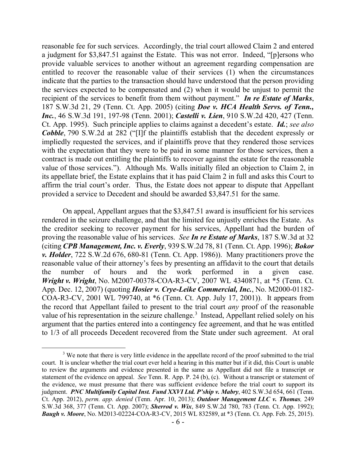reasonable fee for such services. Accordingly, the trial court allowed Claim 2 and entered a judgment for \$3,847.51 against the Estate.This was not error. Indeed, "[p]ersons who provide valuable services to another without an agreement regarding compensation are entitled to recover the reasonable value of their services (1) when the circumstances indicate that the parties to the transaction should have understood that the person providing the services expected to be compensated and (2) when it would be unjust to permit the recipient of the services to benefit from them without payment." *In re Estate of Marks*, 187 S.W.3d 21, 29 (Tenn. Ct. App. 2005) (citing *Doe v. HCA Health Servs. of Tenn., Inc.*, 46 S.W.3d 191, 197-98 (Tenn. 2001); *Castelli v. Lien*, 910 S.W.2d 420, 427 (Tenn. Ct. App. 1995). Such principle applies to claims against a decedent's estate. *Id.*; *see also Cobble*, 790 S.W.2d at 282 ("[I]f the plaintiffs establish that the decedent expressly or impliedly requested the services, and if plaintiffs prove that they rendered those services with the expectation that they were to be paid in some manner for those services, then a contract is made out entitling the plaintiffs to recover against the estate for the reasonable value of those services."). Although Ms. Walls initially filed an objection to Claim 2, in its appellate brief, the Estate explains that it has paid Claim 2 in full and asks this Court to affirm the trial court's order. Thus, the Estate does not appear to dispute that Appellant provided a service to Decedent and should be awarded \$3,847.51 for the same.

On appeal, Appellant argues that the \$3,847.51 award is insufficient for his services rendered in the seizure challenge, and that the limited fee unjustly enriches the Estate. As the creditor seeking to recover payment for his services, Appellant had the burden of proving the reasonable value of his services. *See In re Estate of Marks*, 187 S.W.3d at 32 (citing *CPB Management, Inc. v. Everly*, 939 S.W.2d 78, 81 (Tenn. Ct. App. 1996); *Bokor v. Holder*, 722 S.W.2d 676, 680-81 (Tenn. Ct. App. 1986)). Many practitioners prove the reasonable value of their attorney's fees by presenting an affidavit to the court that details the number of hours and the work performed in a given case. *Wright v. Wright*, No. M2007-00378-COA-R3-CV, 2007 WL 4340871, at \*5 (Tenn. Ct. App. Dec. 12, 2007) (quoting *Hosier v. Crye-Leike Commercial, Inc.*, No. M2000-01182- COA-R3-CV, 2001 WL 799740, at \*6 (Tenn. Ct. App. July 17, 2001)).It appears from the record that Appellant failed to present to the trial court *any* proof of the reasonable value of his representation in the seizure challenge.<sup>3</sup> Instead, Appellant relied solely on his argument that the parties entered into a contingency fee agreement, and that he was entitled to 1/3 of all proceeds Decedent recovered from the State under such agreement. At oral

 $\overline{a}$ 

<sup>&</sup>lt;sup>3</sup> We note that there is very little evidence in the appellate record of the proof submitted to the trial court. It is unclear whether the trial court ever held a hearing in this matter but if it did, this Court is unable to review the arguments and evidence presented in the same as Appellant did not file a transcript or statement of the evidence on appeal. *See* Tenn. R. App. P. 24 (b), (c). Without a transcript or statement of the evidence, we must presume that there was sufficient evidence before the trial court to support its judgment. *PNC Multifamily Capital Inst. Fund XXVI Ltd. P'ship v. Mabry*, 402 S.W.3d 654, 661 (Tenn. Ct. App. 2012), *perm. app. denied* (Tenn. Apr. 10, 2013); *Outdoor Management LLC v. Thomas,* 249 S.W.3d 368, 377 (Tenn. Ct. App. 2007); *Sherrod v. Wix*, 849 S.W.2d 780, 783 (Tenn. Ct. App. 1992); *Baugh v. Moore*, No. M2013-02224-COA-R3-CV, 2015 WL 832589, at \*3 (Tenn. Ct. App. Feb. 25, 2015).